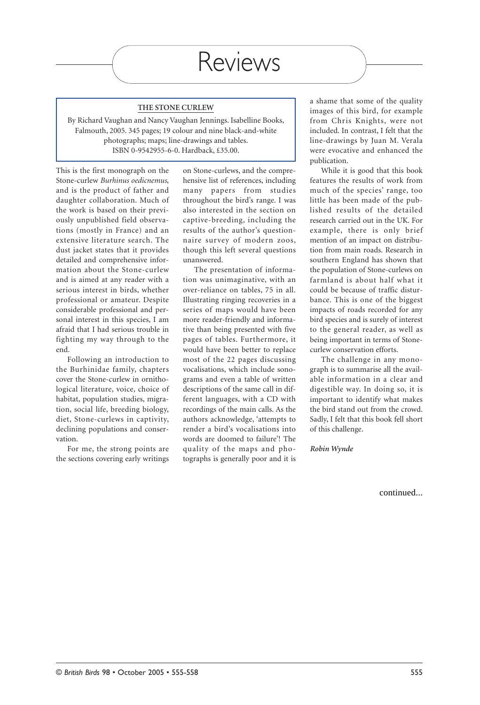#### **THE STONE CURLEW**

By Richard Vaughan and Nancy Vaughan Jennings. Isabelline Books, Falmouth, 2005. 345 pages; 19 colour and nine black-and-white photographs; maps; line-drawings and tables. ISBN 0-9542955-6-0. Hardback, £35.00.

This is the first monograph on the Stone-curlew *Burhinus oedicnemus*, and is the product of father and daughter collaboration. Much of the work is based on their previously unpublished field observations (mostly in France) and an extensive literature search. The dust jacket states that it provides detailed and comprehensive information about the Stone-curlew and is aimed at any reader with a serious interest in birds, whether professional or amateur. Despite considerable professional and personal interest in this species, I am afraid that I had serious trouble in fighting my way through to the end.

Following an introduction to the Burhinidae family, chapters cover the Stone-curlew in ornithological literature, voice, choice of habitat, population studies, migration, social life, breeding biology, diet, Stone-curlews in captivity, declining populations and conservation.

For me, the strong points are the sections covering early writings on Stone-curlews, and the comprehensive list of references, including many papers from studies throughout the bird's range. I was also interested in the section on captive-breeding, including the results of the author's questionnaire survey of modern zoos, though this left several questions unanswered.

The presentation of information was unimaginative, with an over-reliance on tables, 75 in all. Illustrating ringing recoveries in a series of maps would have been more reader-friendly and informative than being presented with five pages of tables. Furthermore, it would have been better to replace most of the 22 pages discussing vocalisations, which include sonograms and even a table of written descriptions of the same call in different languages, with a CD with recordings of the main calls. As the authors acknowledge, 'attempts to render a bird's vocalisations into words are doomed to failure'! The quality of the maps and photographs is generally poor and it is a shame that some of the quality images of this bird, for example from Chris Knights, were not included. In contrast, I felt that the line-drawings by Juan M. Verala were evocative and enhanced the publication.

While it is good that this book features the results of work from much of the species' range, too little has been made of the published results of the detailed research carried out in the UK. For example, there is only brief mention of an impact on distribution from main roads. Research in southern England has shown that the population of Stone-curlews on farmland is about half what it could be because of traffic disturbance. This is one of the biggest impacts of roads recorded for any bird species and is surely of interest to the general reader, as well as being important in terms of Stonecurlew conservation efforts.

The challenge in any monograph is to summarise all the available information in a clear and digestible way. In doing so, it is important to identify what makes the bird stand out from the crowd. Sadly, I felt that this book fell short of this challenge.

*Robin Wynde*

continued...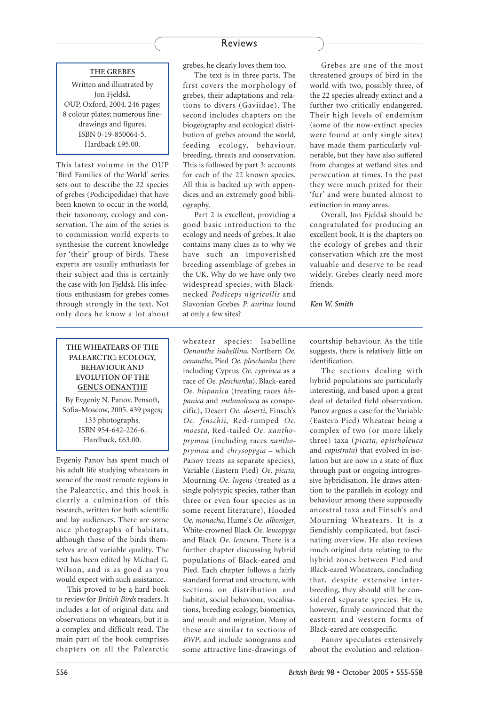### **THE GREBES**

Written and illustrated by Jon Fjeldså. OUP, Oxford, 2004. 246 pages; 8 colour plates; numerous linedrawings and figures. ISBN 0-19-850064-5. Hardback £95.00.

This latest volume in the OUP 'Bird Families of the World' series sets out to describe the 22 species of grebes (Podicipedidae) that have been known to occur in the world, their taxonomy, ecology and conservation. The aim of the series is to commission world experts to synthesise the current knowledge for 'their' group of birds. These experts are usually enthusiasts for their subject and this is certainly the case with Jon Fjeldså. His infectious enthusiasm for grebes comes through strongly in the text. Not only does he know a lot about

## **THE WHEATEARS OF THE PALEARCTIC: ECOLOGY, BEHAVIOUR AND EVOLUTION OF THE GENUS OENANTHE**

By Evgeniy N. Panov. Pensoft, Sofia-Moscow, 2005. 439 pages; 133 photographs. ISBN 954-642-226-6. Hardback, £63.00.

Evgeniy Panov has spent much of his adult life studying wheatears in some of the most remote regions in the Palearctic, and this book is clearly a culmination of this research, written for both scientific and lay audiences. There are some nice photographs of habitats, although those of the birds themselves are of variable quality. The text has been edited by Michael G. Wilson, and is as good as you would expect with such assistance.

This proved to be a hard book to review for *British Birds* readers. It includes a lot of original data and observations on wheatears, but it is a complex and difficult read. The main part of the book comprises chapters on all the Palearctic grebes, he clearly loves them too.

The text is in three parts. The first covers the morphology of grebes, their adaptations and relations to divers (Gaviidae). The second includes chapters on the biogeography and ecological distribution of grebes around the world, feeding ecology, behaviour, breeding, threats and conservation. This is followed by part 3: accounts for each of the 22 known species. All this is backed up with appendices and an extremely good bibliography.

Part 2 is excellent, providing a good basic introduction to the ecology and needs of grebes. It also contains many clues as to why we have such an impoverished breeding assemblage of grebes in the UK. Why do we have only two widespread species, with Blacknecked *Podiceps nigricollis* and Slavonian Grebes *P. auritus* found at only a few sites?

Grebes are one of the most threatened groups of bird in the world with two, possibly three, of the 22 species already extinct and a further two critically endangered. Their high levels of endemism (some of the now-extinct species were found at only single sites) have made them particularly vulnerable, but they have also suffered from changes at wetland sites and persecution at times. In the past they were much prized for their 'fur' and were hunted almost to extinction in many areas.

Overall, Jon Fjeldså should be congratulated for producing an excellent book. It is the chapters on the ecology of grebes and their conservation which are the most valuable and deserve to be read widely. Grebes clearly need more friends.

#### *Ken W. Smith*

wheatear species: Isabelline *Oenanthe isabellina*, Northern *Oe. oenanthe*, Pied *Oe. pleschanka* (here including Cyprus *Oe. cypriaca* as a race of *Oe. pleschanka*), Black-eared *Oe. hispanica* (treating races *hispanica* and *melanoleuca* as conspecific), Desert *Oe. deserti*, Finsch's *Oe. finschii*, Red-rumped *Oe. moesta*, Red-tailed *Oe. xanthoprymna* (including races *xanthoprymna* and *chrysopygia* – which Panov treats as separate species), Variable (Eastern Pied) *Oe. picata*, Mourning *Oe. lugens* (treated as a single polytypic species, rather than three or even four species as in some recent literature), Hooded *Oe. monacha*, Hume's *Oe. alboniger*, White-crowned Black *Oe. leucopyga* and Black *Oe. leucura*. There is a further chapter discussing hybrid populations of Black-eared and Pied. Each chapter follows a fairly standard format and structure, with sections on distribution and habitat, social behaviour, vocalisations, breeding ecology, biometrics, and moult and migration. Many of these are similar to sections of *BWP*, and include sonograms and some attractive line-drawings of

courtship behaviour. As the title suggests, there is relatively little on identification.

The sections dealing with hybrid populations are particularly interesting, and based upon a great deal of detailed field observation. Panov argues a case for the Variable (Eastern Pied) Wheatear being a complex of two (or more likely three) taxa (*picata*, *opistholeuca* and *capistrata*) that evolved in isolation but are now in a state of flux through past or ongoing introgressive hybridisation. He draws attention to the parallels in ecology and behaviour among these supposedly ancestral taxa and Finsch's and Mourning Wheatears. It is a fiendishly complicated, but fascinating overview. He also reviews much original data relating to the hybrid zones between Pied and Black-eared Wheatears, concluding that, despite extensive interbreeding, they should still be considered separate species. He is, however, firmly convinced that the eastern and western forms of Black-eared are conspecific.

Panov speculates extensively about the evolution and relation-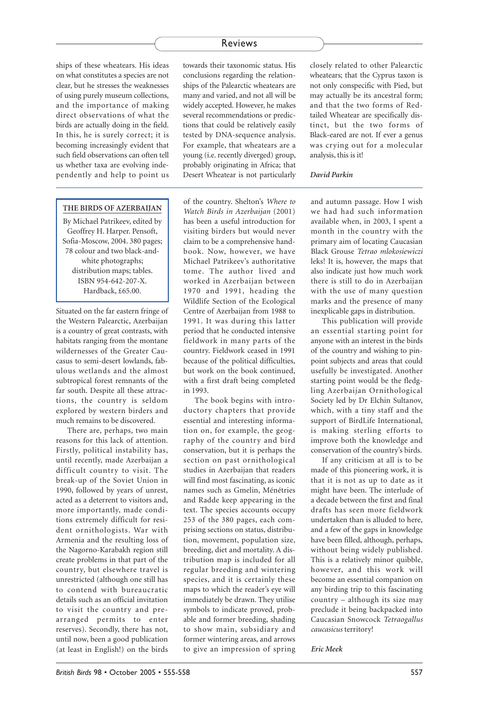ships of these wheatears. His ideas on what constitutes a species are not clear, but he stresses the weaknesses of using purely museum collections, and the importance of making direct observations of what the birds are actually doing in the field. In this, he is surely correct; it is becoming increasingly evident that such field observations can often tell us whether taxa are evolving independently and help to point us

### **THE BIRDS OF AZERBAIJAN**

By Michael Patrikeev, edited by Geoffrey H. Harper. Pensoft, Sofia-Moscow, 2004. 380 pages; 78 colour and two black-andwhite photographs; distribution maps; tables. ISBN 954-642-207-X. Hardback, £65.00.

Situated on the far eastern fringe of the Western Palearctic, Azerbaijan is a country of great contrasts, with habitats ranging from the montane wildernesses of the Greater Caucasus to semi-desert lowlands, fabulous wetlands and the almost subtropical forest remnants of the far south. Despite all these attractions, the country is seldom explored by western birders and much remains to be discovered.

There are, perhaps, two main reasons for this lack of attention. Firstly, political instability has, until recently, made Azerbaijan a difficult country to visit. The break-up of the Soviet Union in 1990, followed by years of unrest, acted as a deterrent to visitors and, more importantly, made conditions extremely difficult for resident ornithologists. War with Armenia and the resulting loss of the Nagorno-Karabakh region still create problems in that part of the country, but elsewhere travel is unrestricted (although one still has to contend with bureaucratic details such as an official invitation to visit the country and prearranged permits to enter reserves). Secondly, there has not, until now, been a good publication (at least in English!) on the birds

towards their taxonomic status. His conclusions regarding the relationships of the Palearctic wheatears are many and varied, and not all will be widely accepted. However, he makes several recommendations or predictions that could be relatively easily tested by DNA-sequence analysis. For example, that wheatears are a young (i.e. recently diverged) group, probably originating in Africa; that Desert Wheatear is not particularly

of the country. Shelton's *Where to Watch Birds in Azerbaijan* (2001) has been a useful introduction for visiting birders but would never claim to be a comprehensive handbook. Now, however, we have Michael Patrikeev's authoritative tome. The author lived and worked in Azerbaijan between 1970 and 1991, heading the Wildlife Section of the Ecological Centre of Azerbaijan from 1988 to 1991. It was during this latter period that he conducted intensive fieldwork in many parts of the country. Fieldwork ceased in 1991 because of the political difficulties, but work on the book continued, with a first draft being completed in 1993.

The book begins with introductory chapters that provide essential and interesting information on, for example, the geography of the country and bird conservation, but it is perhaps the section on past ornithological studies in Azerbaijan that readers will find most fascinating, as iconic names such as Gmelin, Ménétries and Radde keep appearing in the text. The species accounts occupy 253 of the 380 pages, each comprising sections on status, distribution, movement, population size, breeding, diet and mortality. A distribution map is included for all regular breeding and wintering species, and it is certainly these maps to which the reader's eye will immediately be drawn. They utilise symbols to indicate proved, probable and former breeding, shading to show main, subsidiary and former wintering areas, and arrows to give an impression of spring closely related to other Palearctic wheatears; that the Cyprus taxon is not only conspecific with Pied, but may actually be its ancestral form; and that the two forms of Redtailed Wheatear are specifically distinct, but the two forms of Black-eared are not. If ever a genus was crying out for a molecular analysis, this is it!

#### *David Parkin*

and autumn passage. How I wish we had had such information available when, in 2003, I spent a month in the country with the primary aim of locating Caucasian Black Grouse *Tetrao mlokosiewiczi* leks! It is, however, the maps that also indicate just how much work there is still to do in Azerbaijan with the use of many question marks and the presence of many inexplicable gaps in distribution.

This publication will provide an essential starting point for anyone with an interest in the birds of the country and wishing to pinpoint subjects and areas that could usefully be investigated. Another starting point would be the fledgling Azerbaijan Ornithological Society led by Dr Elchin Sultanov, which, with a tiny staff and the support of BirdLife International, is making sterling efforts to improve both the knowledge and conservation of the country's birds.

If any criticism at all is to be made of this pioneering work, it is that it is not as up to date as it might have been. The interlude of a decade between the first and final drafts has seen more fieldwork undertaken than is alluded to here, and a few of the gaps in knowledge have been filled, although, perhaps, without being widely published. This is a relatively minor quibble, however, and this work will become an essential companion on any birding trip to this fascinating country – although its size may preclude it being backpacked into Caucasian Snowcock *Tetraogallus caucasicus* territory!

*Eric Meek*